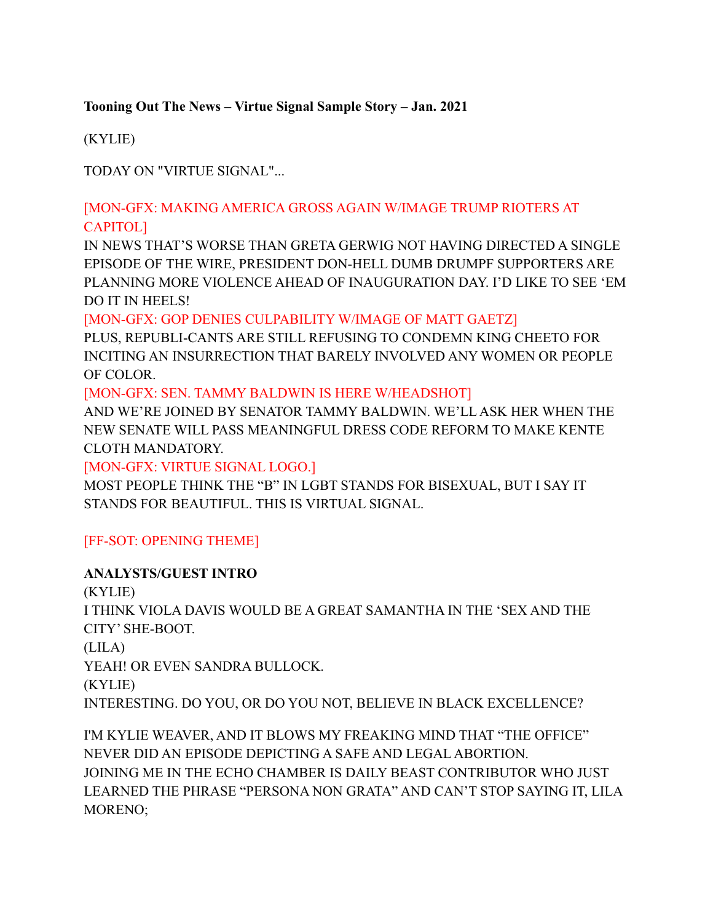#### **Tooning Out The News – Virtue Signal Sample Story – Jan. 2021**

(KYLIE)

TODAY ON "VIRTUE SIGNAL"...

## [MON-GFX: MAKING AMERICA GROSS AGAIN W/IMAGE TRUMP RIOTERS AT CAPITOL]

IN NEWS THAT'S WORSE THAN GRETA GERWIG NOT HAVING DIRECTED A SINGLE EPISODE OF THE WIRE, PRESIDENT DON-HELL DUMB DRUMPF SUPPORTERS ARE PLANNING MORE VIOLENCE AHEAD OF INAUGURATION DAY. I'D LIKE TO SEE 'EM DO IT IN HEELS!

#### [MON-GFX: GOP DENIES CULPABILITY W/IMAGE OF MATT GAETZ]

PLUS, REPUBLI-CANTS ARE STILL REFUSING TO CONDEMN KING CHEETO FOR INCITING AN INSURRECTION THAT BARELY INVOLVED ANY WOMEN OR PEOPLE OF COLOR.

[MON-GFX: SEN. TAMMY BALDWIN IS HERE W/HEADSHOT]

AND WE'RE JOINED BY SENATOR TAMMY BALDWIN. WE'LL ASK HER WHEN THE NEW SENATE WILL PASS MEANINGFUL DRESS CODE REFORM TO MAKE KENTE CLOTH MANDATORY.

[MON-GFX: VIRTUE SIGNAL LOGO.]

MOST PEOPLE THINK THE "B" IN LGBT STANDS FOR BISEXUAL, BUT I SAY IT STANDS FOR BEAUTIFUL. THIS IS VIRTUAL SIGNAL.

## [FF-SOT: OPENING THEME]

## **ANALYSTS/GUEST INTRO**

(KYLIE) I THINK VIOLA DAVIS WOULD BE A GREAT SAMANTHA IN THE 'SEX AND THE CITY' SHE-BOOT. (LILA) YEAH! OR EVEN SANDRA BULLOCK. (KYLIE) INTERESTING. DO YOU, OR DO YOU NOT, BELIEVE IN BLACK EXCELLENCE?

I'M KYLIE WEAVER, AND IT BLOWS MY FREAKING MIND THAT "THE OFFICE" NEVER DID AN EPISODE DEPICTING A SAFE AND LEGAL ABORTION. JOINING ME IN THE ECHO CHAMBER IS DAILY BEAST CONTRIBUTOR WHO JUST LEARNED THE PHRASE "PERSONA NON GRATA" AND CAN'T STOP SAYING IT, LILA MORENO;